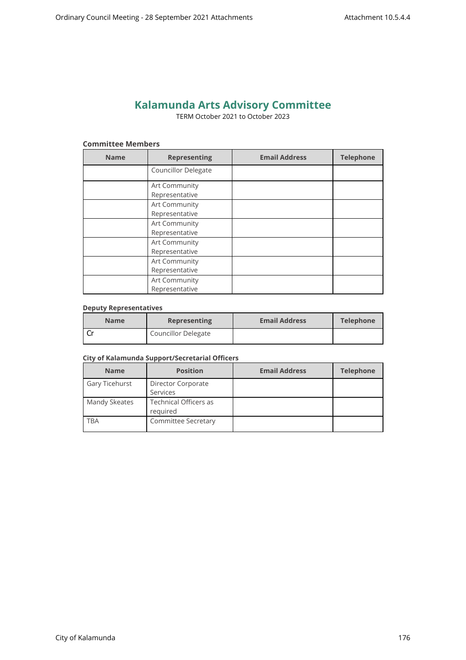# **Kalamunda Arts Advisory Committee**

TERM October 2021 to October 2023

## **Committee Members**

| <b>Name</b> | <b>Representing</b>             | <b>Email Address</b> | <b>Telephone</b> |
|-------------|---------------------------------|----------------------|------------------|
|             | Councillor Delegate             |                      |                  |
|             | Art Community<br>Representative |                      |                  |
|             | Art Community<br>Representative |                      |                  |
|             | Art Community<br>Representative |                      |                  |
|             | Art Community<br>Representative |                      |                  |
|             | Art Community<br>Representative |                      |                  |
|             | Art Community<br>Representative |                      |                  |

#### **Deputy Representatives**

| <b>Name</b> | Representing               | <b>Email Address</b> | <b>Telephone</b> |
|-------------|----------------------------|----------------------|------------------|
|             | <b>Councillor Delegate</b> |                      |                  |

#### **City of Kalamunda Support/Secretarial Officers**

| <b>Name</b>    | <b>Position</b>                   | <b>Email Address</b> | <b>Telephone</b> |
|----------------|-----------------------------------|----------------------|------------------|
| Gary Ticehurst | Director Corporate                |                      |                  |
|                | Services                          |                      |                  |
| Mandy Skeates  | Technical Officers as<br>reguired |                      |                  |
| TBA            | Committee Secretary               |                      |                  |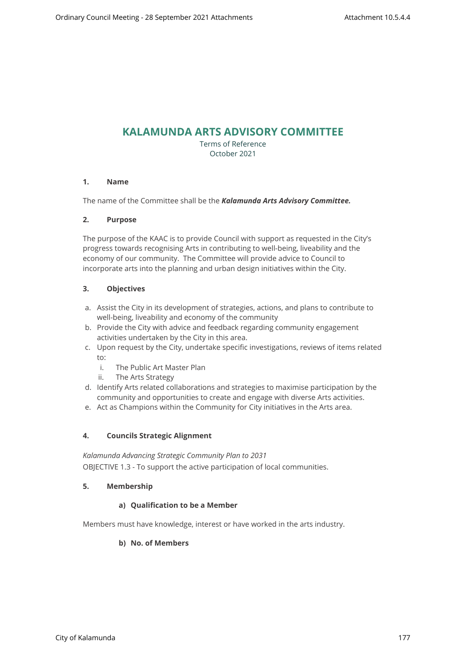## **KALAMUNDA ARTS ADVISORY COMMITTEE**

Terms of Reference October 2021

## **1. Name**

The name of the Committee shall be the *Kalamunda Arts Advisory Committee.*

#### **2. Purpose**

The purpose of the KAAC is to provide Council with support as requested in the City's progress towards recognising Arts in contributing to well-being, liveability and the economy of our community. The Committee will provide advice to Council to incorporate arts into the planning and urban design initiatives within the City.

#### **3. Objectives**

- a. Assist the City in its development of strategies, actions, and plans to contribute to well-being, liveability and economy of the community
- b. Provide the City with advice and feedback regarding community engagement activities undertaken by the City in this area.
- c. Upon request by the City, undertake specific investigations, reviews of items related to:
	- i. The Public Art Master Plan
	- ii. The Arts Strategy
- d. Identify Arts related collaborations and strategies to maximise participation by the community and opportunities to create and engage with diverse Arts activities.
- e. Act as Champions within the Community for City initiatives in the Arts area.

#### **4. Councils Strategic Alignment**

*Kalamunda Advancing Strategic Community Plan to 2031*  OBJECTIVE 1.3 - To support the active participation of local communities.

#### **5. Membership**

## **a) Qualification to be a Member**

Members must have knowledge, interest or have worked in the arts industry.

#### **b) No. of Members**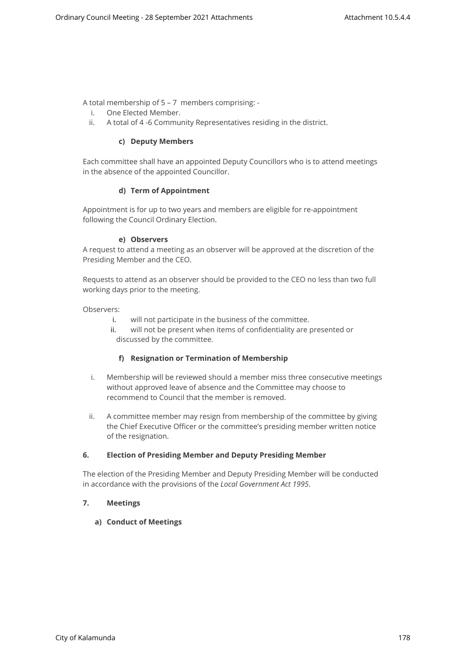A total membership of 5 – 7 members comprising: -

- i. One Elected Member.
- ii. A total of 4 -6 Community Representatives residing in the district.

## **c) Deputy Members**

Each committee shall have an appointed Deputy Councillors who is to attend meetings in the absence of the appointed Councillor.

## **d) Term of Appointment**

Appointment is for up to two years and members are eligible for re-appointment following the Council Ordinary Election.

#### **e) Observers**

A request to attend a meeting as an observer will be approved at the discretion of the Presiding Member and the CEO.

Requests to attend as an observer should be provided to the CEO no less than two full working days prior to the meeting.

Observers:

- i. will not participate in the business of the committee.
- ii. will not be present when items of confidentiality are presented or discussed by the committee.

## **f) Resignation or Termination of Membership**

- i. Membership will be reviewed should a member miss three consecutive meetings without approved leave of absence and the Committee may choose to recommend to Council that the member is removed.
- ii. A committee member may resign from membership of the committee by giving the Chief Executive Officer or the committee's presiding member written notice of the resignation.

## **6. Election of Presiding Member and Deputy Presiding Member**

The election of the Presiding Member and Deputy Presiding Member will be conducted in accordance with the provisions of the *Local Government Act 1995*.

## **7. Meetings**

## **a) Conduct of Meetings**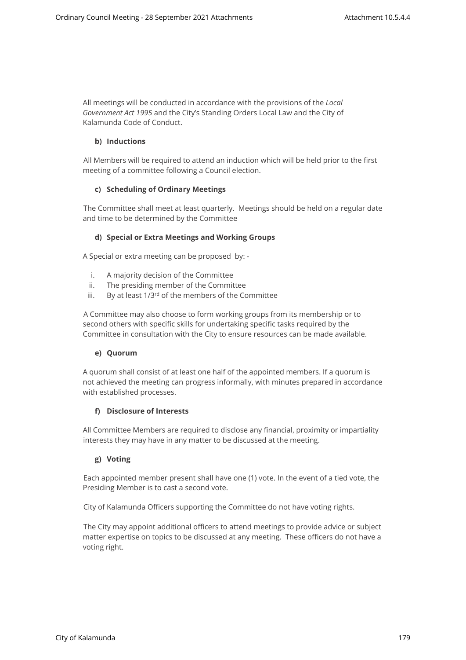All meetings will be conducted in accordance with the provisions of the *Local Government Act 1995* and the City's Standing Orders Local Law and the City of Kalamunda Code of Conduct.

## **b) Inductions**

All Members will be required to attend an induction which will be held prior to the first meeting of a committee following a Council election.

## **c) Scheduling of Ordinary Meetings**

The Committee shall meet at least quarterly. Meetings should be held on a regular date and time to be determined by the Committee

## **d) Special or Extra Meetings and Working Groups**

A Special or extra meeting can be proposed by: -

- i. A majority decision of the Committee
- ii. The presiding member of the Committee
- iii. By at least 1/3<sup>rd</sup> of the members of the Committee

A Committee may also choose to form working groups from its membership or to second others with specific skills for undertaking specific tasks required by the Committee in consultation with the City to ensure resources can be made available.

## **e) Quorum**

A quorum shall consist of at least one half of the appointed members. If a quorum is not achieved the meeting can progress informally, with minutes prepared in accordance with established processes.

## **f) Disclosure of Interests**

All Committee Members are required to disclose any financial, proximity or impartiality interests they may have in any matter to be discussed at the meeting.

## **g) Voting**

Each appointed member present shall have one (1) vote. In the event of a tied vote, the Presiding Member is to cast a second vote.

City of Kalamunda Officers supporting the Committee do not have voting rights.

The City may appoint additional officers to attend meetings to provide advice or subject matter expertise on topics to be discussed at any meeting. These officers do not have a voting right.